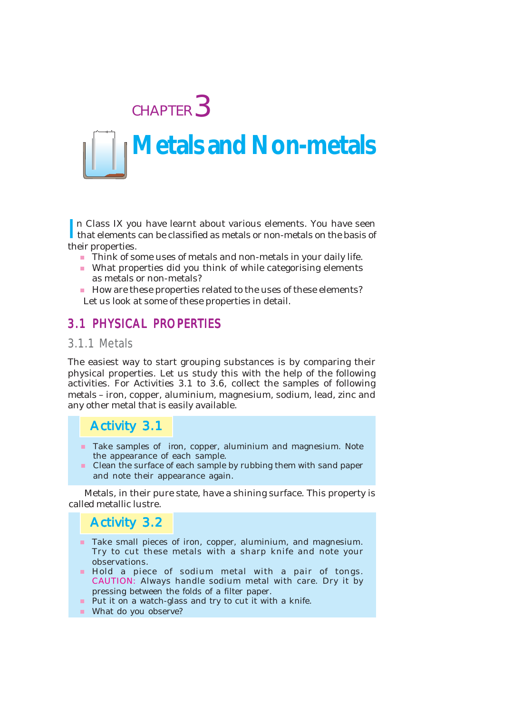

In Class IX you have learnt about various elements. You have seen<br>that elements can be classified as metals or non-metals on the basis of that elements can be classified as metals or non-metals on the basis of their properties.

- Think of some uses of metals and non-metals in your daily life.
- What properties did you think of while categorising elements as metals or non-metals?
- How are these properties related to the uses of these elements? Let us look at some of these properties in detail.

### 3.1 PHYSICAL PROPERTIES

### 3.1.1 Metals

The easiest way to start grouping substances is by comparing their physical properties. Let us study this with the help of the following activities. For Activities 3.1 to 3.6, collect the samples of following metals – iron, copper, aluminium, magnesium, sodium, lead, zinc and any other metal that is easily available.

### Activity 3.1

- **Take samples of iron, copper, aluminium and magnesium. Note** the appearance of each sample.
- Clean the surface of each sample by rubbing them with sand paper and note their appearance again.

Metals, in their pure state, have a shining surface. This property is called metallic lustre.

### Activity 3.2

- Take small pieces of iron, copper, aluminium, and magnesium. Try to cut these metals with a sharp knife and note your observations.
- Hold a piece of sodium metal with a pair of tongs. CAUTION: Always handle sodium metal with care. Dry it by pressing between the folds of a filter paper.
- **Put it on a watch-glass and try to cut it with a knife.**
- What do you observe?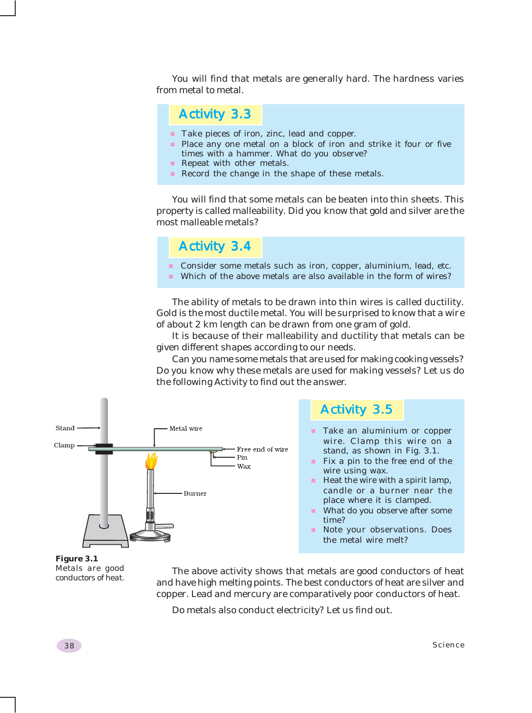You will find that metals are generally hard. The hardness varies from metal to metal.

### Activity 3.3

- Take pieces of iron, zinc, lead and copper.
- **Place any one metal on a block of iron and strike it four or five** times with a hammer. What do you observe?
- Repeat with other metals.
- Record the change in the shape of these metals.

You will find that some metals can be beaten into thin sheets. This property is called malleability. Did you know that gold and silver are the most malleable metals?

### Activity 3.4

- **Consider some metals such as iron, copper, aluminium, lead, etc.**
- Which of the above metals are also available in the form of wires?

The ability of metals to be drawn into thin wires is called ductility. Gold is the most ductile metal. You will be surprised to know that a wire of about 2 km length can be drawn from one gram of gold.

It is because of their malleability and ductility that metals can be given different shapes according to our needs.

Can you name some metals that are used for making cooking vessels? Do you know why these metals are used for making vessels? Let us do the following Activity to find out the answer.



#### *Figure 3.1 Metals are good conductors of heat.*

The above activity shows that metals are good conductors of heat and have high melting points. The best conductors of heat are silver and copper. Lead and mercury are comparatively poor conductors of heat.

Do metals also conduct electricity? Let us find out.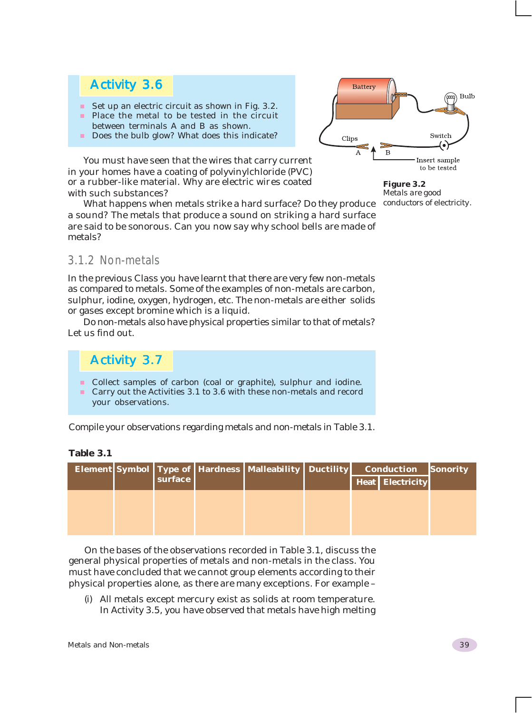### Activity 3.6

- Set up an electric circuit as shown in Fig.  $3.2$ .
- Place the metal to be tested in the circuit between terminals A and B as shown.
- Does the bulb glow? What does this indicate?

You must have seen that the wires that carry current in your homes have a coating of polyvinylchloride (PVC) or a rubber-like material. Why are electric wires coated with such substances?

What happens when metals strike a hard surface? Do they produce a sound? The metals that produce a sound on striking a hard surface are said to be sonorous. Can you now say why school bells are made of metals?



*Figure 3.2 Metals are good conductors of electricity.*

### 3.1.2 Non-metals

In the previous Class you have learnt that there are very few non-metals as compared to metals. Some of the examples of non-metals are carbon, sulphur, iodine, oxygen, hydrogen, etc. The non-metals are either solids or gases except bromine which is a liquid.

Do non-metals also have physical properties similar to that of metals? Let us find out.

### Activity 3.7

- **Collect samples of carbon (coal or graphite), sulphur and iodine.**
- Carry out the Activities 3.1 to 3.6 with these non-metals and record your observations.

Compile your observations regarding metals and non-metals in Table 3.1.

**Table 3.1**

|  | surface | Element Symbol   Type of   Hardness   Malleability   Ductility |  | <b>Conduction</b><br><b>Heat   Electricity</b> | Sonority |
|--|---------|----------------------------------------------------------------|--|------------------------------------------------|----------|
|  |         |                                                                |  |                                                |          |

On the bases of the observations recorded in Table 3.1, discuss the general physical properties of metals and non-metals in the class. You must have concluded that we cannot group elements according to their physical properties alone, as there are many exceptions. For example –

(i) All metals except mercury exist as solids at room temperature. In Activity 3.5, you have observed that metals have high melting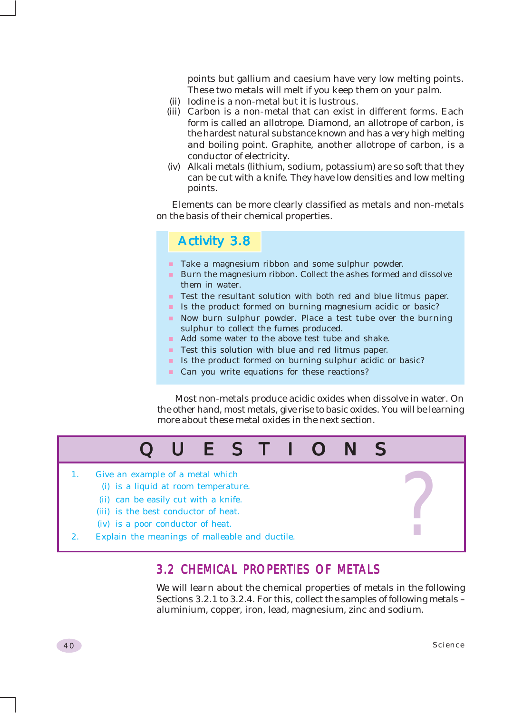points but gallium and caesium have very low melting points. These two metals will melt if you keep them on your palm.

- (ii) Iodine is a non-metal but it is lustrous.
- (iii) Carbon is a non-metal that can exist in different forms. Each form is called an allotrope. Diamond, an allotrope of carbon, is the hardest natural substance known and has a very high melting and boiling point. Graphite, another allotrope of carbon, is a conductor of electricity.
- (iv) Alkali metals (lithium, sodium, potassium) are so soft that they can be cut with a knife. They have low densities and low melting points.

Elements can be more clearly classified as metals and non-metals on the basis of their chemical properties.

### Activity 3.8

- **Take a magnesium ribbon and some sulphur powder.**
- **Burn the magnesium ribbon. Collect the ashes formed and dissolve** them in water.
- **Test the resultant solution with both red and blue litmus paper.**
- In Is the product formed on burning magnesium acidic or basic?
- Now burn sulphur powder. Place a test tube over the burning sulphur to collect the fumes produced.
- Add some water to the above test tube and shake.
- **Test this solution with blue and red litmus paper.**
- In Is the product formed on burning sulphur acidic or basic?
- Can you write equations for these reactions?

 Most non-metals produce acidic oxides when dissolve in water. On the other hand, most metals, give rise to basic oxides. You will be learning more about these metal oxides in the next section.



### 3.2 CHEMICAL PROPERTIES OF METALS

We will learn about the chemical properties of metals in the following Sections 3.2.1 to 3.2.4. For this, collect the samples of following metals – aluminium, copper, iron, lead, magnesium, zinc and sodium.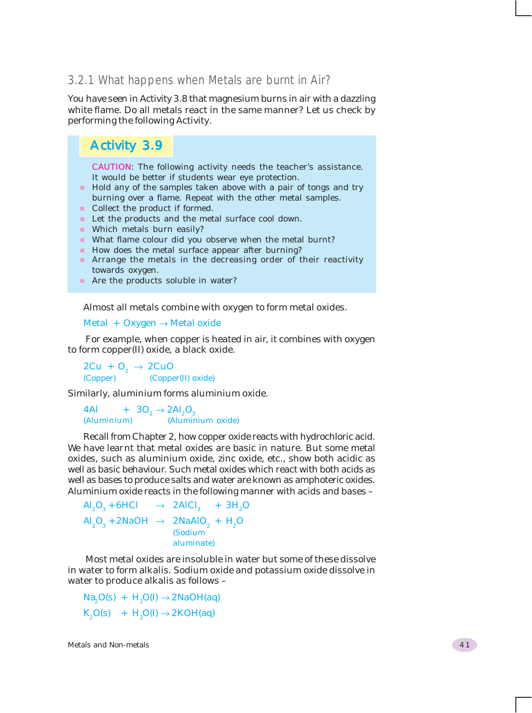### 3.2.1 What happens when Metals are burnt in Air?

You have seen in Activity 3.8 that magnesium burns in air with a dazzling white flame. Do all metals react in the same manner? Let us check by performing the following Activity.

### Activity 3.9

CAUTION: The following activity needs the teacher's assistance. It would be better if students wear eye protection.

- Hold any of the samples taken above with a pair of tongs and try burning over a flame. Repeat with the other metal samples.
- Collect the product if formed.
- **Let the products and the metal surface cool down.**
- **Which metals burn easily?**
- What flame colour did you observe when the metal burnt?
- How does the metal surface appear after burning?
- **Arrange the metals in the decreasing order of their reactivity** towards oxygen.
- Are the products soluble in water?

Almost all metals combine with oxygen to form metal oxides.

Metal + Oxygen  $\rightarrow$  Metal oxide

 For example, when copper is heated in air, it combines with oxygen to form copper(II) oxide, a black oxide.

 $2Cu + O_2 \rightarrow 2CuO$ <br>(Copper) (Coppe (Copper(II) oxide)

Similarly, aluminium forms aluminium oxide.

4Al +  $3O_2 \rightarrow 2Al_2O_3$ <br>(Aluminium) (Alumin (Aluminium) (Aluminium oxide)

Recall from Chapter 2, how copper oxide reacts with hydrochloric acid. We have learnt that metal oxides are basic in nature. But some metal oxides, such as aluminium oxide, zinc oxide, etc., show both acidic as well as basic behaviour. Such metal oxides which react with both acids as well as bases to produce salts and water are known as amphoteric oxides. Aluminium oxide reacts in the following manner with acids and bases –

 $\text{Al}_2\text{O}_3 + 6\text{HCl} \rightarrow 2\text{AlCl}_3 + 3\text{H}_2\text{O}$  $\text{Al}_2\text{O}_3$  + 2NaOH  $\rightarrow$  2NaAlO<sub>2</sub> + H<sub>2</sub>O (Sodium aluminate)

 Most metal oxides are insoluble in water but some of these dissolve in water to form alkalis. Sodium oxide and potassium oxide dissolve in water to produce alkalis as follows –

 $Na<sub>2</sub>O(s) + H<sub>2</sub>O(l) \rightarrow 2NaOH(aq)$  $K_2O(s)$  +  $H_2O(l) \rightarrow 2KOH(aq)$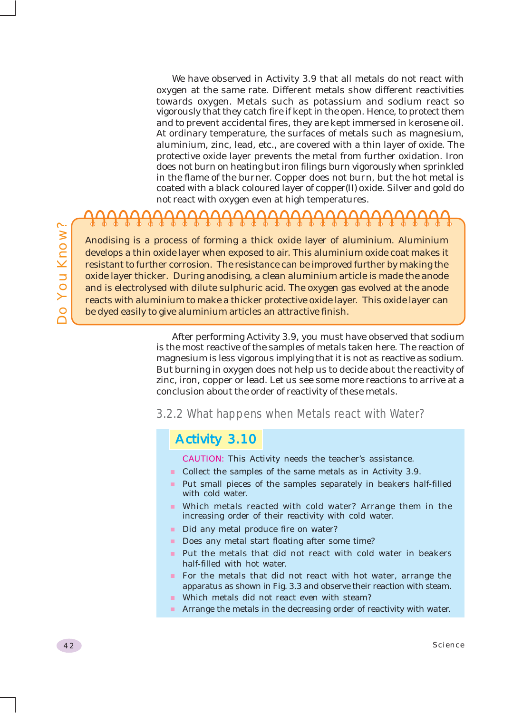We have observed in Activity 3.9 that all metals do not react with oxygen at the same rate. Different metals show different reactivities towards oxygen. Metals such as potassium and sodium react so vigorously that they catch fire if kept in the open. Hence, to protect them and to prevent accidental fires, they are kept immersed in kerosene oil. At ordinary temperature, the surfaces of metals such as magnesium, aluminium, zinc, lead, etc., are covered with a thin layer of oxide. The protective oxide layer prevents the metal from further oxidation. Iron does not burn on heating but iron filings burn vigorously when sprinkled in the flame of the burner. Copper does not burn, but the hot metal is coated with a black coloured layer of copper(II) oxide. Silver and gold do not react with oxygen even at high temperatures.

### 

Anodising is a process of forming a thick oxide layer of aluminium. Aluminium develops a thin oxide layer when exposed to air. This aluminium oxide coat makes it resistant to further corrosion. The resistance can be improved further by making the oxide layer thicker. During anodising, a clean aluminium article is made the anode and is electrolysed with dilute sulphuric acid. The oxygen gas evolved at the anode reacts with aluminium to make a thicker protective oxide layer. This oxide layer can be dyed easily to give aluminium articles an attractive finish.

> After performing Activity 3.9, you must have observed that sodium is the most reactive of the samples of metals taken here. The reaction of magnesium is less vigorous implying that it is not as reactive as sodium. But burning in oxygen does not help us to decide about the reactivity of zinc, iron, copper or lead. Let us see some more reactions to arrive at a conclusion about the order of reactivity of these metals.

### 3.2.2 What happens when Metals react with Water?

### Activity 3.10

CAUTION: This Activity needs the teacher's assistance.

- **Collect the samples of the same metals as in Activity 3.9.**
- Put small pieces of the samples separately in beakers half-filled with cold water.
- Which metals reacted with cold water? Arrange them in the increasing order of their reactivity with cold water.
- Did any metal produce fire on water?
- Does any metal start floating after some time?
- **Put the metals that did not react with cold water in beakers** half-filled with hot water.
- For the metals that did not react with hot water, arrange the apparatus as shown in Fig. 3.3 and observe their reaction with steam.
- Which metals did not react even with steam?
- **Arrange the metals in the decreasing order of reactivity with water.**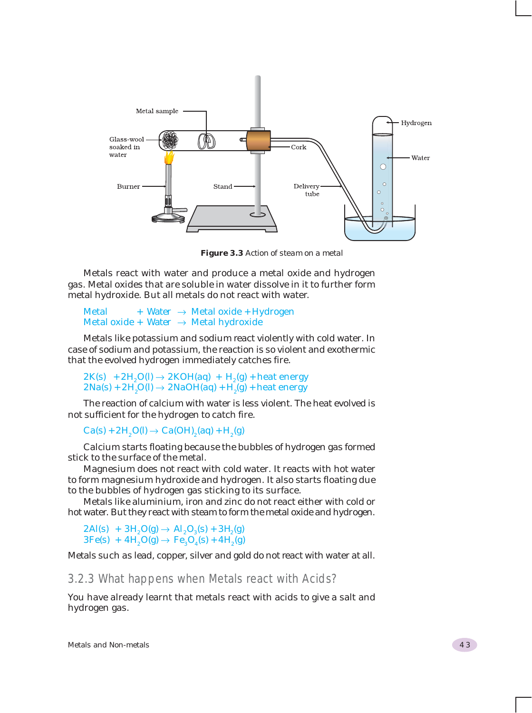

*Figure 3.3 Action of steam on a metal*

Metals react with water and produce a metal oxide and hydrogen gas. Metal oxides that are soluble in water dissolve in it to further form metal hydroxide. But all metals do not react with water.

Metal  $+$  Water  $\rightarrow$  Metal oxide + Hydrogen Metal oxide + Water  $\rightarrow$  Metal hydroxide

Metals like potassium and sodium react violently with cold water. In case of sodium and potassium, the reaction is so violent and exothermic that the evolved hydrogen immediately catches fire.

 $2K(s) + 2H_2O(l) \rightarrow 2KOH(aq) + H_2(g) + heat energy$  $2\text{Na(s)} + 2\text{H}_2\text{O(l)} \rightarrow 2\text{NaOH(aq)} + \text{H}_2\text{(g)} + \text{heat energy}$ 

The reaction of calcium with water is less violent. The heat evolved is not sufficient for the hydrogen to catch fire.

 $Ca(s) + 2H<sub>2</sub>O(l) \rightarrow Ca(OH)<sub>2</sub>(aq) + H<sub>2</sub>(g)$ 

Calcium starts floating because the bubbles of hydrogen gas formed stick to the surface of the metal.

Magnesium does not react with cold water. It reacts with hot water to form magnesium hydroxide and hydrogen. It also starts floating due to the bubbles of hydrogen gas sticking to its surface.

Metals like aluminium, iron and zinc do not react either with cold or hot water. But they react with steam to form the metal oxide and hydrogen.

 $2\text{Al}(s) + 3\text{H}_2\text{O}(g) \rightarrow \text{Al}_2\text{O}_3(s) + 3\text{H}_2(g)$  $3Fe(s) + 4H<sub>2</sub>O(g) \rightarrow Fe<sub>3</sub>O<sub>4</sub>(s) + 4H<sub>2</sub>(g)$ 

Metals such as lead, copper, silver and gold do not react with water at all.

3.2.3 What happens when Metals react with Acids?

You have already learnt that metals react with acids to give a salt and hydrogen gas.

Metals and Non-metals 43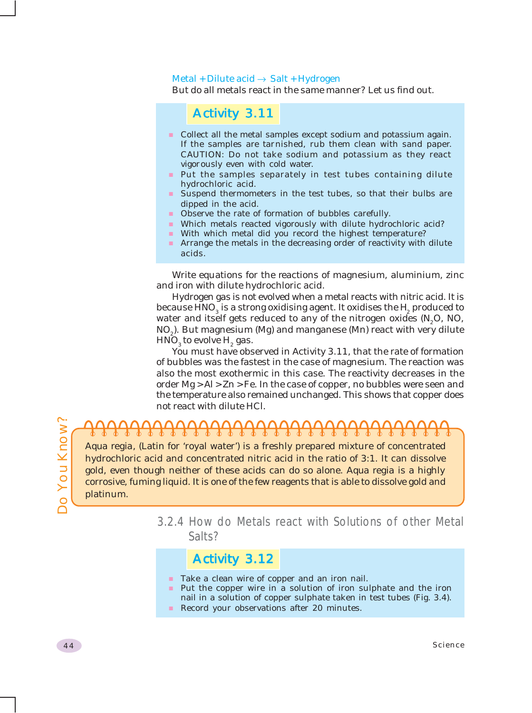#### Metal + Dilute acid  $\rightarrow$  Salt + Hydrogen

But do all metals react in the same manner? Let us find out.

### Activity 3.11

- **Collect all the metal samples except sodium and potassium again.** If the samples are tarnished, rub them clean with sand paper. CAUTION: Do not take sodium and potassium as they react vigorously even with cold water.
- Put the samples separately in test tubes containing dilute hydrochloric acid.
- Suspend thermometers in the test tubes, so that their bulbs are dipped in the acid.
- **Observe the rate of formation of bubbles carefully.**
- Which metals reacted vigorously with dilute hydrochloric acid?
- With which metal did you record the highest temperature?
- **Arrange the metals in the decreasing order of reactivity with dilute** acids.

Write equations for the reactions of magnesium, aluminium, zinc and iron with dilute hydrochloric acid.

Hydrogen gas is not evolved when a metal reacts with nitric acid. It is because HNO $_{_3}$  is a strong oxidising agent. It oxidises the  $\rm H_{_2}$  produced to water and itself gets reduced to any of the nitrogen oxides  $(N_2O, NO,$ NO<sub>2</sub>). But magnesium (Mg) and manganese (Mn) react with very dilute  $\text{HNO}_3^{\text{}}$  to evolve  $\text{H}_2^{\text{}}$  gas.

You must have observed in Activity 3.11, that the rate of formation of bubbles was the fastest in the case of magnesium. The reaction was also the most exothermic in this case. The reactivity decreases in the order Mg > Al > Zn > Fe. In the case of copper, no bubbles were seen and the temperature also remained unchanged. This shows that copper does not react with dilute HCl.

## <del>77777777777777777</del>

*Aqua regia,* (Latin for 'royal water') is a freshly prepared mixture of concentrated hydrochloric acid and concentrated nitric acid in the ratio of 3:1. It can dissolve gold, even though neither of these acids can do so alone. *Aqua regia* is a highly corrosive, fuming liquid. It is one of the few reagents that is able to dissolve gold and platinum.

> 3.2.4 How do Metals react with Solutions of other Metal Salts?

### Activity 3.12

- Take a clean wire of copper and an iron nail.
- **Put the copper wire in a solution of iron sulphate and the iron** nail in a solution of copper sulphate taken in test tubes (Fig. 3.4).
- Record your observations after 20 minutes.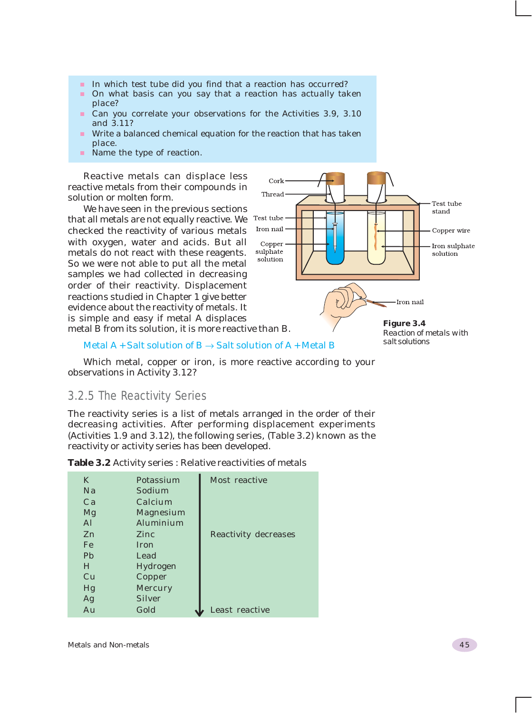- In which test tube did you find that a reaction has occurred?
- **On what basis can you say that a reaction has actually taken** place?
- Can you correlate your observations for the Activities 3.9, 3.10 and 3.11?
- Write a balanced chemical equation for the reaction that has taken place.
- Name the type of reaction.

Reactive metals can displace less reactive metals from their compounds in solution or molten form.

We have seen in the previous sections that all metals are not equally reactive. We checked the reactivity of various metals with oxygen, water and acids. But all metals do not react with these reagents. So we were not able to put all the metal samples we had collected in decreasing order of their reactivity. Displacement reactions studied in Chapter 1 give better evidence about the reactivity of metals. It is simple and easy if metal A displaces metal B from its solution, it is more reactive than B.



Metal A + Salt solution of  $B \rightarrow S$ alt solution of A + Metal B

Which metal, copper or iron, is more reactive according to your observations in Activity 3.12?

### 3.2.5 The Reactivity Series

The reactivity series is a list of metals arranged in the order of their decreasing activities. After performing displacement experiments (Activities 1.9 and 3.12), the following series, (Table 3.2) known as the reactivity or activity series has been developed.

|  |  |  | <b>Table 3.2</b> Activity series: Relative reactivities of metals |  |
|--|--|--|-------------------------------------------------------------------|--|
|--|--|--|-------------------------------------------------------------------|--|

| K              | Potassium        | Most reactive               |
|----------------|------------------|-----------------------------|
| Na             | Sodium           |                             |
| Ca             | Calcium          |                             |
| Mg             | <b>Magnesium</b> |                             |
| Al             | Aluminium        |                             |
| Zn             | Zinc.            | <b>Reactivity decreases</b> |
| Fe             | Iron             |                             |
| P <sub>b</sub> | Lead             |                             |
| H              | Hydrogen         |                             |
| Cu             | Copper           |                             |
| Hg             | <b>Mercury</b>   |                             |
| Ag             | <b>Silver</b>    |                             |
| Au             | Gold             | Least reactive              |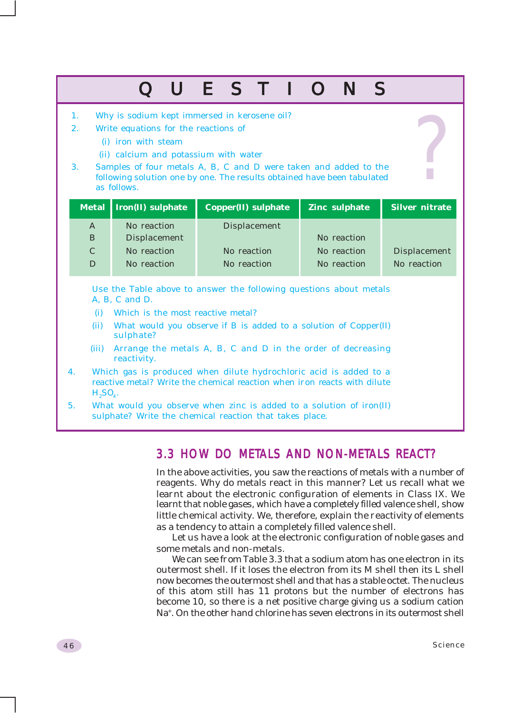### QUESTIONS

- 1. Why is sodium kept immersed in kerosene oil?
- 2. Write equations for the reactions of
	- (i) iron with steam
	- (ii) calcium and potassium with water
- 3. Samples of four metals A, B, C and D were taken and added to the following solution one by one. The results obtained have been tabulated as follows.

|   | Metal   Iron(II) sulphate | <b>Copper(II)</b> sulphate | <b>Zinc sulphate</b> | Silver nitrate      |
|---|---------------------------|----------------------------|----------------------|---------------------|
| A | No reaction               | <b>Displacement</b>        |                      |                     |
| B | <b>Displacement</b>       |                            | No reaction          |                     |
| C | No reaction               | No reaction                | No reaction          | <b>Displacement</b> |
| D | No reaction               | No reaction                | No reaction          | No reaction         |

Use the Table above to answer the following questions about metals A, B, C and D.

- (i) Which is the most reactive metal?
- (ii) What would you observe if B is added to a solution of Copper(II) sulphate?
- (iii) Arrange the metals A, B, C and D in the order of decreasing reactivity.
- 4. Which gas is produced when dilute hydrochloric acid is added to a reactive metal? Write the chemical reaction when iron reacts with dilute  $H<sub>2</sub>SO<sub>4</sub>$ .
- 5. What would you observe when zinc is added to a solution of iron(II) sulphate? Write the chemical reaction that takes place.

### 3.3 HOW DO METALS AND NON-METALS REACT?

In the above activities, you saw the reactions of metals with a number of reagents. Why do metals react in this manner? Let us recall what we learnt about the electronic configuration of elements in Class IX. We learnt that noble gases, which have a completely filled valence shell, show little chemical activity. We, therefore, explain the reactivity of elements as a tendency to attain a completely filled valence shell.

Let us have a look at the electronic configuration of noble gases and some metals and non-metals.

We can see from Table 3.3 that a sodium atom has one electron in its outermost shell. If it loses the electron from its M shell then its L shell now becomes the outermost shell and that has a stable octet. The nucleus of this atom still has 11 protons but the number of electrons has become 10, so there is a net positive charge giving us a sodium cation Na<sup>+</sup>. On the other hand chlorine has seven electrons in its outermost shell

?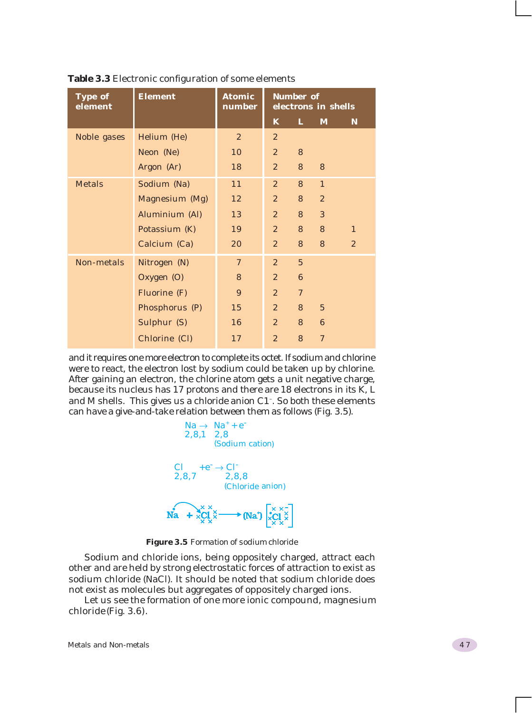| <b>Type of</b><br>element | <b>Element</b> |                |                | <b>Number of</b> | electrons in shells |                |
|---------------------------|----------------|----------------|----------------|------------------|---------------------|----------------|
|                           |                |                | $\mathbf{K}$   | L                | M                   | N              |
| Noble gases               | Helium (He)    | $\overline{2}$ | $\overline{2}$ |                  |                     |                |
|                           | Neon (Ne)      | 10             | $\mathbf{2}$   | 8                |                     |                |
|                           | Argon (Ar)     | 18             | 2 <sup>2</sup> | 8                | 8                   |                |
| <b>Metals</b>             | Sodium (Na)    | 11             | $\overline{2}$ | 8                | $\mathbf{1}$        |                |
|                           | Magnesium (Mg) | 12             | $\overline{2}$ | 8                | $\overline{2}$      |                |
|                           | Aluminium (Al) | 13             | 2 <sup>2</sup> | 8                | 3                   |                |
|                           | Potassium (K)  | 19             | 2 <sup>2</sup> | 8                | 8                   | $\mathbf{1}$   |
|                           | Calcium (Ca)   | 20             | 2 <sup>2</sup> | 8                | 8                   | $\overline{2}$ |
| Non-metals                | Nitrogen (N)   | $\mathcal I$   | $\overline{2}$ | $\overline{5}$   |                     |                |
|                           | Oxygen (O)     | 8              | $\mathbf{2}$   | 6                |                     |                |
|                           | Fluorine (F)   | 9              | 2 <sup>2</sup> | $\tau$           |                     |                |
|                           | Phosphorus (P) | 15             | $\mathbf{2}$   | 8                | $\overline{5}$      |                |
|                           | Sulphur (S)    | 16             | $\mathbf{2}$   | 8                | 6                   |                |
|                           | Chlorine (Cl)  | 17             | $\overline{2}$ | 8                | $\overline{7}$      |                |

**Table 3.3** Electronic configuration of some elements

and it requires one more electron to complete its octet. If sodium and chlorine were to react, the electron lost by sodium could be taken up by chlorine. After gaining an electron, the chlorine atom gets a unit negative charge, because its nucleus has 17 protons and there are 18 electrons in its K, L and M shells. This gives us a chloride anion C1– . So both these elements can have a give-and-take relation between them as follows (Fig. 3.5).



*Figure 3.5 Formation of sodium chloride*

Sodium and chloride ions, being oppositely charged, attract each other and are held by strong electrostatic forces of attraction to exist as sodium chloride (NaCl). It should be noted that sodium chloride does not exist as molecules but aggregates of oppositely charged ions.

Let us see the formation of one more ionic compound, magnesium chloride (Fig. 3.6).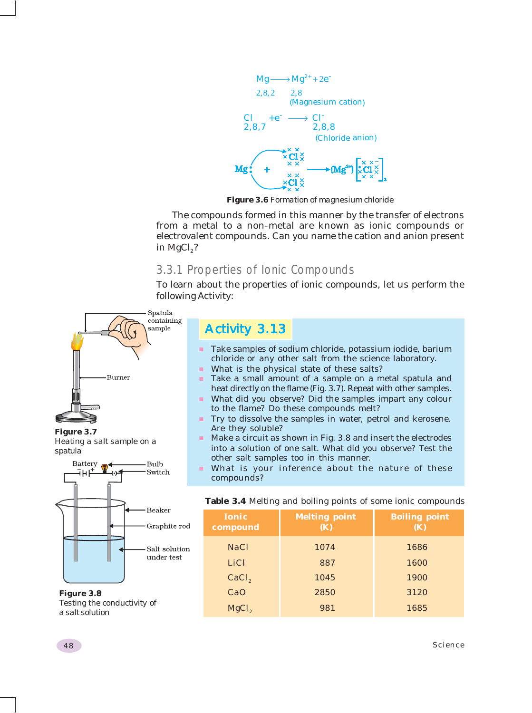

*Figure 3.6 Formation of magnesium chloride*

The compounds formed in this manner by the transfer of electrons from a metal to a non-metal are known as ionic compounds or electrovalent compounds. Can you name the cation and anion present in MgCl $<sub>2</sub>$ ?</sub>

### 3.3.1 Properties of Ionic Compounds

To learn about the properties of ionic compounds, let us perform the following Activity:



*Figure 3.8 Testing the conductivity of a salt solution*

### Activity 3.13

- Take samples of sodium chloride, potassium iodide, barium chloride or any other salt from the science laboratory.
- What is the physical state of these salts?
- Take a small amount of a sample on a metal spatula and heat directly on the flame (Fig. 3.7). Repeat with other samples.
- What did you observe? Did the samples impart any colour to the flame? Do these compounds melt?
- **Try to dissolve the samples in water, petrol and kerosene.** Are they soluble?
- Make a circuit as shown in Fig. 3.8 and insert the electrodes into a solution of one salt. What did you observe? Test the other salt samples too in this manner.
- What is your inference about the nature of these

|  |  |  |  |  |  |  |  |  | Table 3.4 Melting and boiling points of some ionic compounds |
|--|--|--|--|--|--|--|--|--|--------------------------------------------------------------|
|--|--|--|--|--|--|--|--|--|--------------------------------------------------------------|

| <b>Ionic</b><br>compound | <b>Melting point</b><br><b>(K)</b> | <b>Boiling point</b><br>(K) |  |  |  |  |
|--------------------------|------------------------------------|-----------------------------|--|--|--|--|
| <b>NaCl</b>              | 1074                               | 1686                        |  |  |  |  |
| LiCl                     | 887                                | 1600                        |  |  |  |  |
| CaCl <sub>2</sub>        | 1045                               | 1900                        |  |  |  |  |
| CaO                      | 2850                               | 3120                        |  |  |  |  |
| MgCl <sub>2</sub>        | 981                                | 1685                        |  |  |  |  |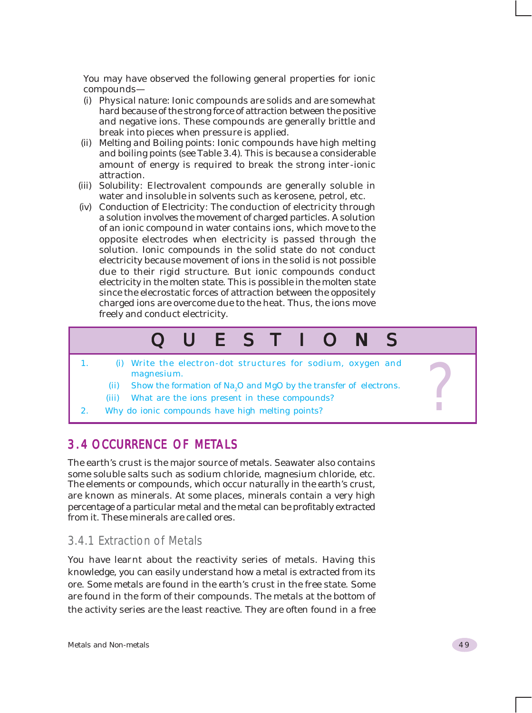You may have observed the following general properties for ionic compounds—

- (i) *Physical nature*: Ionic compounds are solids and are somewhat hard because of the strong force of attraction between the positive and negative ions. These compounds are generally brittle and break into pieces when pressure is applied.
- (ii) *Melting and Boiling points*: Ionic compounds have high melting and boiling points (see Table 3.4). This is because a considerable amount of energy is required to break the strong inter-ionic attraction.
- (iii) *Solubility*: Electrovalent compounds are generally soluble in water and insoluble in solvents such as kerosene, petrol, etc.
- (iv) *Conduction of Electricity*: The conduction of electricity through a solution involves the movement of charged particles. A solution of an ionic compound in water contains ions, which move to the opposite electrodes when electricity is passed through the solution. Ionic compounds in the solid state do not conduct electricity because movement of ions in the solid is not possible due to their rigid structure. But ionic compounds conduct electricity in the molten state. This is possible in the molten state since the elecrostatic forces of attraction between the oppositely charged ions are overcome due to the heat. Thus, the ions move freely and conduct electricity.

### QUESTIONS

- 2. (i) 1. (i) Write the electron-dot structures for sodium, oxygen and magnesium.<br>
(ii) Show the formation of Na<sub>2</sub>O and MgO by the transfer of electrons.<br>
(iii) What are the ions present in these compounds?<br>
2. Why do io magnesium.
	- (ii) Show the formation of  $Na<sub>2</sub>O$  and MgO by the transfer of electrons.
	- (iii) What are the ions present in these compounds?
- 2. Why do ionic compounds have high melting points?

### 3.4 OCCURRENCE OF METALS

The earth's crust is the major source of metals. Seawater also contains some soluble salts such as sodium chloride, magnesium chloride, etc. The elements or compounds, which occur naturally in the earth's crust, are known as minerals. At some places, minerals contain a very high percentage of a particular metal and the metal can be profitably extracted from it. These minerals are called ores.

### 3.4.1 Extraction of Metals

You have learnt about the reactivity series of metals. Having this knowledge, you can easily understand how a metal is extracted from its ore. Some metals are found in the earth's crust in the free state. Some are found in the form of their compounds. The metals at the bottom of the activity series are the least reactive. They are often found in a free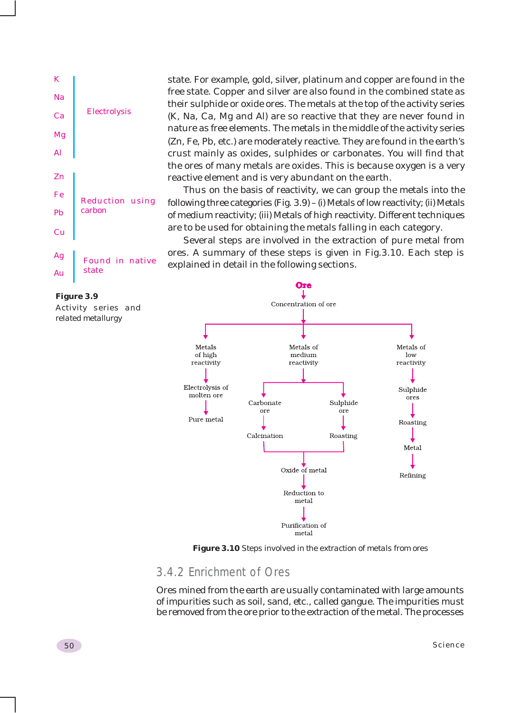

#### *Figure 3.9*

*Activity series and related metallurgy*

state. For example, gold, silver, platinum and copper are found in the free state. Copper and silver are also found in the combined state as their sulphide or oxide ores. The metals at the top of the activity series (K, Na, Ca, Mg and Al) are so reactive that they are never found in nature as free elements. The metals in the middle of the activity series (Zn, Fe, Pb, etc.) are moderately reactive. They are found in the earth's crust mainly as oxides, sulphides or carbonates. You will find that the ores of many metals are oxides. This is because oxygen is a very reactive element and is very abundant on the earth.

Thus on the basis of reactivity, we can group the metals into the following three categories (Fig. 3.9) – (i) Metals of low reactivity; (ii) Metals of medium reactivity; (iii) Metals of high reactivity. Different techniques are to be used for obtaining the metals falling in each category.

Several steps are involved in the extraction of pure metal from ores. A summary of these steps is given in Fig.3.10. Each step is explained in detail in the following sections.



*Figure 3.10 Steps involved in the extraction of metals from ores*

### 3.4.2 Enrichment of Ores

Ores mined from the earth are usually contaminated with large amounts of impurities such as soil, sand, etc., called gangue. The impurities must be removed from the ore prior to the extraction of the metal. The processes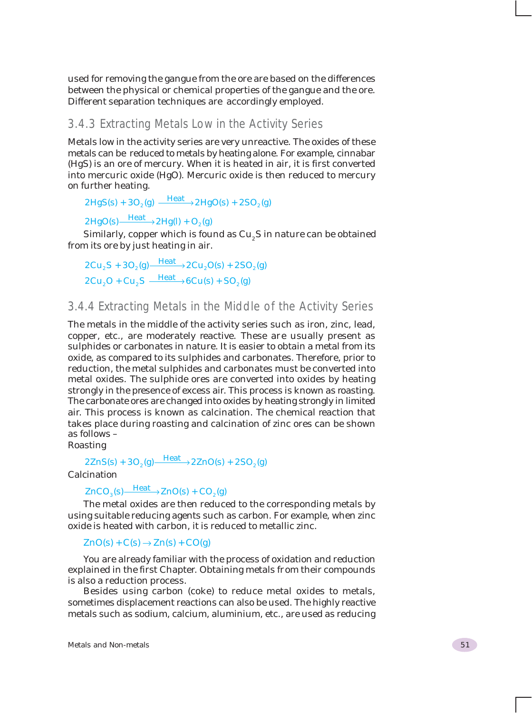used for removing the gangue from the ore are based on the differences between the physical or chemical properties of the gangue and the ore. Different separation techniques are accordingly employed.

### 3.4.3 Extracting Metals Low in the Activity Series

Metals low in the activity series are very unreactive. The oxides of these metals can be reduced to metals by heating alone. For example, cinnabar (HgS) is an ore of mercury. When it is heated in air, it is first converted into mercuric oxide (HgO). Mercuric oxide is then reduced to mercury on further heating.

```
2HgS(s) + 3O_2(g) \xrightarrow{\text{Heat}} 2HgO(s) + 2SO_2(g)
```
 $2HgO(s)$   $\longrightarrow$   $2Hg(l) + O_2(g)$ 

Similarly, copper which is found as  $\mathrm{Cu}_{_2}\mathrm{S}$  in nature can be obtained from its ore by just heating in air.

 $2Cu_2S + 3O_2(g) \xrightarrow{\text{Heat}} 2Cu_2O(s) + 2SO_2(g)$  $2Cu_2O + Cu_2S \xrightarrow{\text{Heat}} 6Cu(s) + SO_2(g)$ 

### 3.4.4 Extracting Metals in the Middle of the Activity Series

The metals in the middle of the activity series such as iron, zinc, lead, copper, etc., are moderately reactive. These are usually present as sulphides or carbonates in nature. It is easier to obtain a metal from its oxide, as compared to its sulphides and carbonates. Therefore, prior to reduction, the metal sulphides and carbonates must be converted into metal oxides. The sulphide ores are converted into oxides by heating strongly in the presence of excess air. This process is known as roasting. The carbonate ores are changed into oxides by heating strongly in limited air. This process is known as calcination. The chemical reaction that takes place during roasting and calcination of zinc ores can be shown as follows –

Roasting

 $2ZnS(s) + 3O_2(g) \frac{Heat}{2} + 2ZnO(s) + 2SO_2(g)$ 

**Calcination** 

### $ZnCO<sub>3</sub>(s)$   $\longrightarrow$   $\frac{\text{Heat}}{\text{2}}$   $ZnO(s)$  +  $CO<sub>2</sub>(g)$

The metal oxides are then reduced to the corresponding metals by using suitable reducing agents such as carbon. For example, when zinc oxide is heated with carbon, it is reduced to metallic zinc.

 $ZnO(s) + C(s) \rightarrow Zn(s) + CO(g)$ 

You are already familiar with the process of oxidation and reduction explained in the first Chapter. Obtaining metals from their compounds is also a reduction process.

Besides using carbon (coke) to reduce metal oxides to metals, sometimes displacement reactions can also be used. The highly reactive metals such as sodium, calcium, aluminium, etc., are used as reducing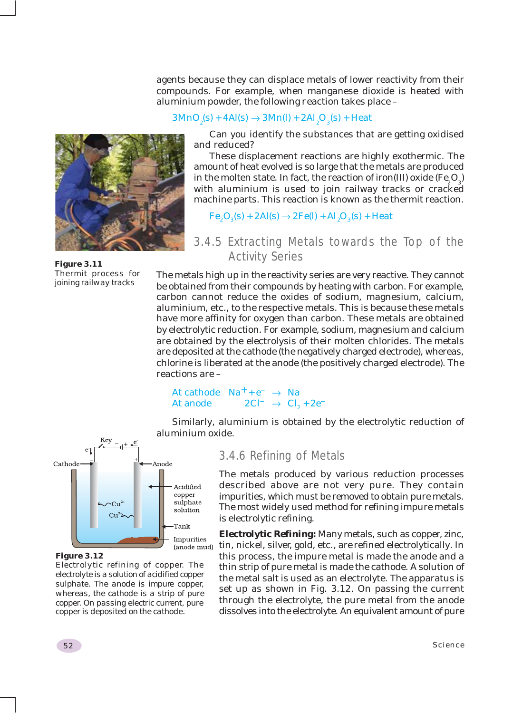agents because they can displace metals of lower reactivity from their compounds. For example, when manganese dioxide is heated with aluminium powder, the following reaction takes place –

### $3\text{MnO}_2(\text{s}) + 4\text{Al}(\text{s}) \rightarrow 3\text{Mn}(\text{l}) + 2\text{Al}_2\text{O}_3(\text{s}) + \text{Heat}$

Can you identify the substances that are getting oxidised and reduced?

These displacement reactions are highly exothermic. The amount of heat evolved is so large that the metals are produced in the molten state. In fact, the reaction of iron(III) oxide (Fe<sub>2</sub>O<sub>3</sub>) with aluminium is used to join railway tracks or cracked machine parts. This reaction is known as the thermit reaction.

 $Fe<sub>2</sub>O<sub>3</sub>(s) + 2Al(s) \rightarrow 2Fe(l) + Al<sub>2</sub>O<sub>3</sub>(s) + Heat$ 

### 3.4.5 Extracting Metals towards the Top of the Activity Series

The metals high up in the reactivity series are very reactive. They cannot be obtained from their compounds by heating with carbon. For example, carbon cannot reduce the oxides of sodium, magnesium, calcium, aluminium, etc., to the respective metals. This is because these metals have more affinity for oxygen than carbon. These metals are obtained by electrolytic reduction. For example, sodium, magnesium and calcium are obtained by the electrolysis of their molten chlorides. The metals are deposited at the cathode (the negatively charged electrode), whereas, chlorine is liberated at the anode (the positively charged electrode). The reactions are –

### At cathode  $Na^+ + e^- \rightarrow Na$ At anode  $2Cl^{-} \rightarrow Cl_{0} + 2e^{-}$

Similarly, aluminium is obtained by the electrolytic reduction of aluminium oxide.

### 3.4.6 Refining of Metals

The metals produced by various reduction processes described above are not very pure. They contain impurities, which must be removed to obtain pure metals. The most widely used method for refining impure metals is electrolytic refining.

*Electrolytic Refining:* Many metals, such as copper, zinc, tin, nickel, silver, gold, etc., are refined electrolytically. In this process, the impure metal is made the anode and a thin strip of pure metal is made the cathode. A solution of the metal salt is used as an electrolyte. The apparatus is set up as shown in Fig. 3.12. On passing the current through the electrolyte, the pure metal from the anode dissolves into the electrolyte. An equivalent amount of pure



Cathode

*Electrolytic refining of copper. The electrolyte is a solution of acidified copper sulphate. The anode is impure copper, whereas, the cathode is a strip of pure copper. On passing electric current, pure copper is deposited on the cathode.*

Anode

Acidified copper sulphate

solution Tank Impurities (anode mud)

*Figure 3.11 Thermit process for joining railway tracks*

Key

 $Cu<sup>2</sup>$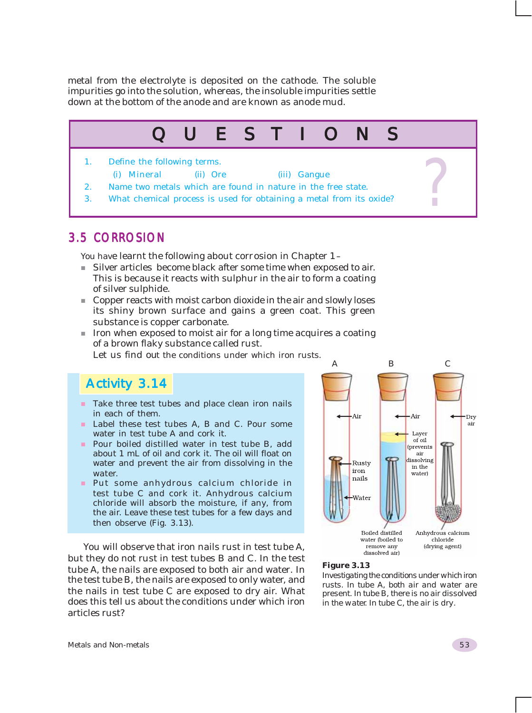metal from the electrolyte is deposited on the cathode. The soluble impurities go into the solution, whereas, the insoluble impurities settle down at the bottom of the anode and are known as anode mud.

# 1. Define the following terms. QUESTIONS ?

- (i) Mineral (ii) Ore (iii) Gangue 2. Name two metals which are found in nature in the free state.
- 3. What chemical process is used for obtaining a metal from its oxide?

### 3.5 CORROSION

You have learnt the following about corrosion in Chapter 1 –

- Silver articles become black after some time when exposed to air. This is because it reacts with sulphur in the air to form a coating of silver sulphide.
- Copper reacts with moist carbon dioxide in the air and slowly loses its shiny brown surface and gains a green coat. This green substance is copper carbonate.
- Iron when exposed to moist air for a long time acquires a coating of a brown flaky substance called rust.

Let us find out the conditions under which iron rusts.

### Activity 3.14

- $\blacksquare$  Take three test tubes and place clean iron nails in each of them.
- Label these test tubes A, B and C. Pour some water in test tube A and cork it.
- Pour boiled distilled water in test tube B, add about 1 mL of oil and cork it. The oil will float on water and prevent the air from dissolving in the water.
- **Put some anhydrous calcium chloride in** test tube C and cork it. Anhydrous calcium chloride will absorb the moisture, if any, from the air. Leave these test tubes for a few days and then observe (Fig. 3.13).

You will observe that iron nails rust in test tube A, but they do not rust in test tubes B and C. In the test tube A, the nails are exposed to both air and water. In the test tube B, the nails are exposed to only water, and the nails in test tube C are exposed to dry air. What does this tell us about the conditions under which iron articles rust?



#### *Figure 3.13*

*Investigating the conditions under which iron rusts. In tube A, both air and water are present. In tube B, there is no air dissolved in the water. In tube C, the air is dry.*

Metals and Non-metals 53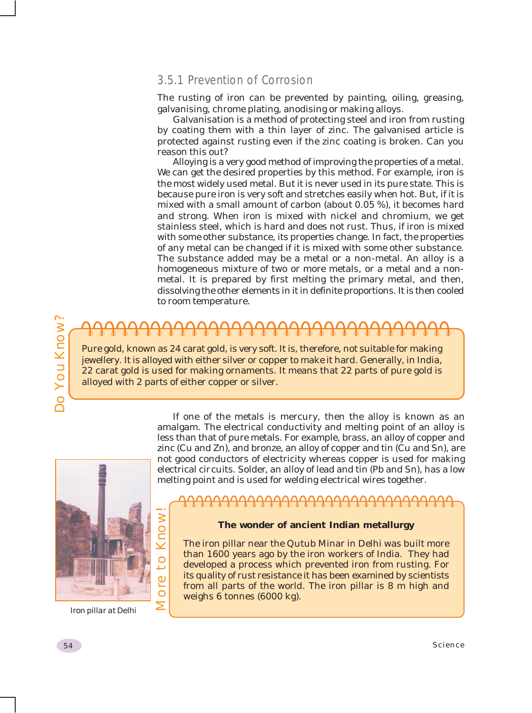### 3.5.1 Prevention of Corrosion

The rusting of iron can be prevented by painting, oiling, greasing, galvanising, chrome plating, anodising or making alloys.

Galvanisation is a method of protecting steel and iron from rusting by coating them with a thin layer of zinc. The galvanised article is protected against rusting even if the zinc coating is broken. Can you reason this out?

Alloying is a very good method of improving the properties of a metal. We can get the desired properties by this method. For example, iron is the most widely used metal. But it is never used in its pure state. This is because pure iron is very soft and stretches easily when hot. But, if it is mixed with a small amount of carbon (about 0.05 %), it becomes hard and strong. When iron is mixed with nickel and chromium, we get stainless steel, which is hard and does not rust. Thus, if iron is mixed with some other substance, its properties change. In fact, the properties of any metal can be changed if it is mixed with some other substance. The substance added may be a metal or a non-metal. An alloy is a homogeneous mixture of two or more metals, or a metal and a nonmetal. It is prepared by first melting the primary metal, and then, dissolving the other elements in it in definite proportions. It is then cooled to room temperature.

Pure gold, known as 24 carat gold, is very soft. It is, therefore, not suitable for making jewellery. It is alloyed with either silver or copper to make it hard. Generally, in India, 22 carat gold is used for making ornaments. It means that 22 parts of pure gold is alloyed with 2 parts of either copper or silver.



More to Know!

*Iron pillar at Delhi*

**Example 10**<br>
Fune gold, known as 24 carat gold, is very soft. It is, therefore, not suitable for making<br>
jewellery, It is alloyed with either silver or copper to make it hard. Cenerally, in India,<br>
22 carat gold is used If one of the metals is mercury, then the alloy is known as an amalgam. The electrical conductivity and melting point of an alloy is less than that of pure metals. For example, brass, an alloy of copper and zinc (Cu and Zn), and bronze, an alloy of copper and tin (Cu and Sn), are not good conductors of electricity whereas copper is used for making electrical circuits. Solder, an alloy of lead and tin (Pb and Sn), has a low melting point and is used for welding electrical wires together.

#### **The wonder of ancient Indian metallurgy**

The iron pillar near the Qutub Minar in Delhi was built more than 1600 years ago by the iron workers of India. They had developed a process which prevented iron from rusting. For its quality of rust resistance it has been examined by scientists from all parts of the world. The iron pillar is 8 m high and weighs 6 tonnes (6000 kg).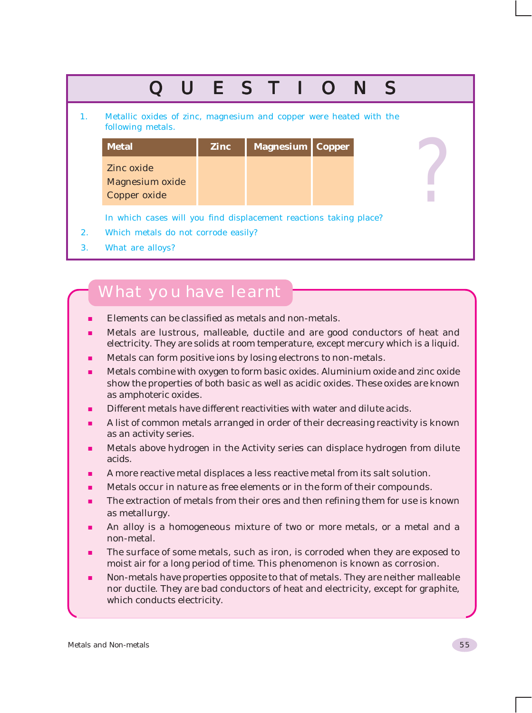|    |                                                                                         |             | UESTIONS  |  |               |  |  |  |  |  |
|----|-----------------------------------------------------------------------------------------|-------------|-----------|--|---------------|--|--|--|--|--|
| 1. | Metallic oxides of zinc, magnesium and copper were heated with the<br>following metals. |             |           |  |               |  |  |  |  |  |
|    | <b>Metal</b>                                                                            | <b>Zinc</b> | Magnesium |  | <b>Copper</b> |  |  |  |  |  |
|    | Zinc oxide<br><b>Magnesium oxide</b><br>Copper oxide                                    |             |           |  |               |  |  |  |  |  |
|    | In which cases will you find displacement reactions taking place?                       |             |           |  |               |  |  |  |  |  |
| 2. | Which metals do not corrode easily?                                                     |             |           |  |               |  |  |  |  |  |
| 3. | What are alloys?                                                                        |             |           |  |               |  |  |  |  |  |

### What you have learnt

- Elements can be classified as metals and non-metals.
- Metals are lustrous, malleable, ductile and are good conductors of heat and electricity. They are solids at room temperature, except mercury which is a liquid.
- Metals can form positive ions by losing electrons to non-metals.
- Metals combine with oxygen to form basic oxides. Aluminium oxide and zinc oxide show the properties of both basic as well as acidic oxides. These oxides are known as amphoteric oxides.
- Different metals have different reactivities with water and dilute acids.
- A list of common metals arranged in order of their decreasing reactivity is known as an activity series.
- Metals above hydrogen in the Activity series can displace hydrogen from dilute acids.
- A more reactive metal displaces a less reactive metal from its salt solution.
- Metals occur in nature as free elements or in the form of their compounds.
- The extraction of metals from their ores and then refining them for use is known as metallurgy.
- An alloy is a homogeneous mixture of two or more metals, or a metal and a non-metal.
- The surface of some metals, such as iron, is corroded when they are exposed to moist air for a long period of time. This phenomenon is known as corrosion.
- Non-metals have properties opposite to that of metals. They are neither malleable nor ductile. They are bad conductors of heat and electricity, except for graphite, which conducts electricity.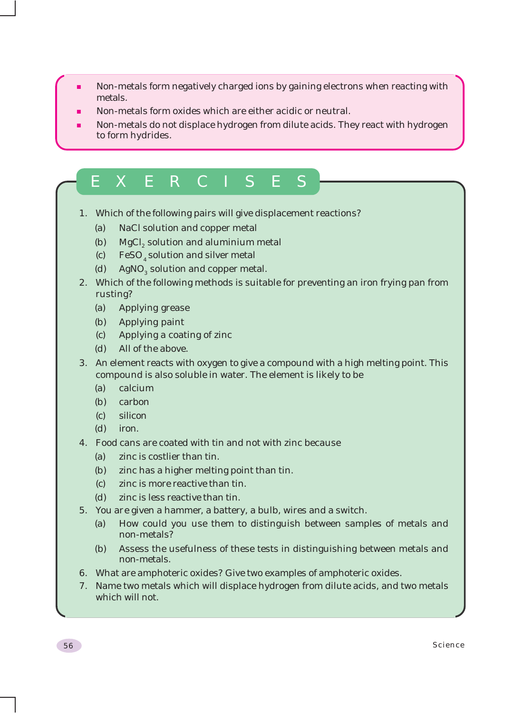- Non-metals form negatively charged ions by gaining electrons when reacting with metals.
- Non-metals form oxides which are either acidic or neutral.
- Non-metals do not displace hydrogen from dilute acids. They react with hydrogen to form hydrides.

## EXERCISES

- 1. Which of the following pairs will give displacement reactions?
	- (a) NaCl solution and copper metal
	- (b) MgCl<sub>2</sub> solution and aluminium metal
	- (c)  $\text{FeSO}_4$  solution and silver metal
	- (d)  $AgNO<sub>3</sub>$  solution and copper metal.
- 2. Which of the following methods is suitable for preventing an iron frying pan from rusting?
	- (a) Applying grease
	- (b) Applying paint
	- (c) Applying a coating of zinc
	- (d) All of the above.
- 3. An element reacts with oxygen to give a compound with a high melting point. This compound is also soluble in water. The element is likely to be
	- (a) calcium
	- (b) carbon
	- (c) silicon
	- (d) iron.
- 4. Food cans are coated with tin and not with zinc because
	- (a) zinc is costlier than tin.
	- (b) zinc has a higher melting point than tin.
	- (c) zinc is more reactive than tin.
	- (d) zinc is less reactive than tin.
- 5. You are given a hammer, a battery, a bulb, wires and a switch.
	- (a) How could you use them to distinguish between samples of metals and non-metals?
	- (b) Assess the usefulness of these tests in distinguishing between metals and non-metals.
- 6. What are amphoteric oxides? Give two examples of amphoteric oxides.
- 7. Name two metals which will displace hydrogen from dilute acids, and two metals which will not.